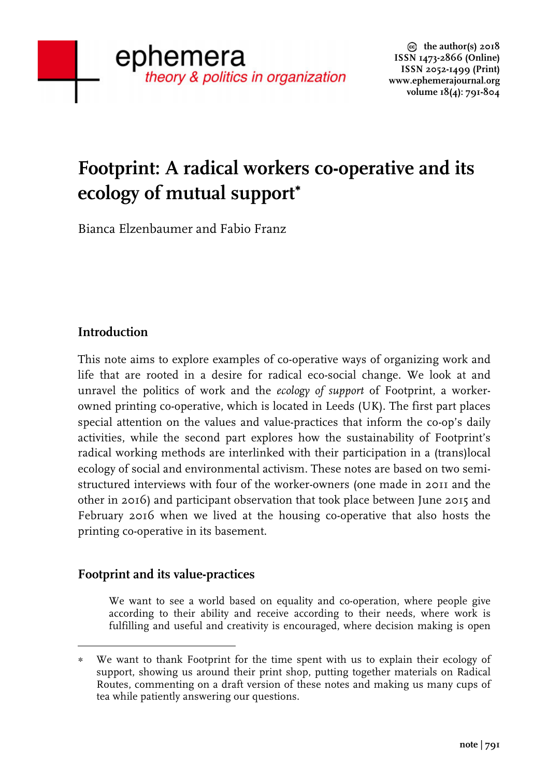# **Footprint: A radical workers co-operative and its ecology of mutual support**<sup>∗</sup>

Bianca Elzenbaumer and Fabio Franz

# **Introduction**

This note aims to explore examples of co-operative ways of organizing work and life that are rooted in a desire for radical eco-social change. We look at and unravel the politics of work and the *ecology of support* of Footprint, a workerowned printing co-operative, which is located in Leeds (UK). The first part places special attention on the values and value-practices that inform the co-op's daily activities, while the second part explores how the sustainability of Footprint's radical working methods are interlinked with their participation in a (trans)local ecology of social and environmental activism. These notes are based on two semistructured interviews with four of the worker-owners (one made in 2011 and the other in 2016) and participant observation that took place between June 2015 and February 2016 when we lived at the housing co-operative that also hosts the printing co-operative in its basement.

# **Footprint and its value-practices**

 

We want to see a world based on equality and co-operation, where people give according to their ability and receive according to their needs, where work is fulfilling and useful and creativity is encouraged, where decision making is open

<sup>∗</sup> We want to thank Footprint for the time spent with us to explain their ecology of support, showing us around their print shop, putting together materials on Radical Routes, commenting on a draft version of these notes and making us many cups of tea while patiently answering our questions.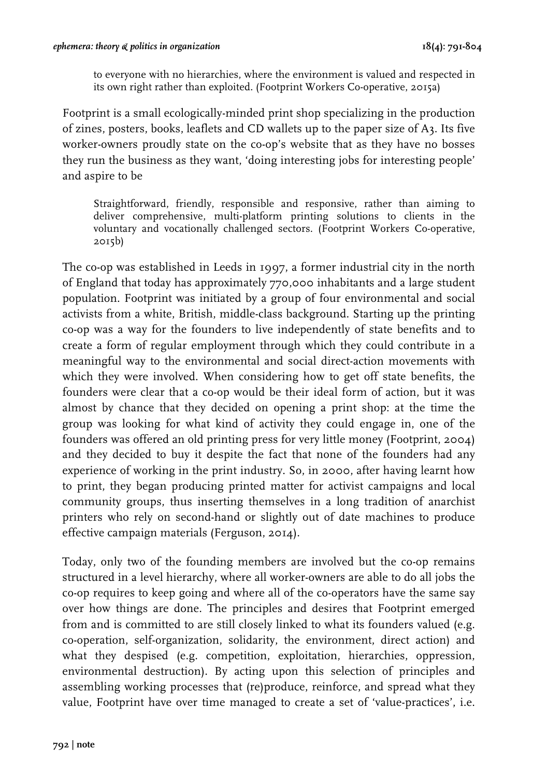to everyone with no hierarchies, where the environment is valued and respected in its own right rather than exploited. (Footprint Workers Co-operative, 2015a)

Footprint is a small ecologically-minded print shop specializing in the production of zines, posters, books, leaflets and CD wallets up to the paper size of A3. Its five worker-owners proudly state on the co-op's website that as they have no bosses they run the business as they want, 'doing interesting jobs for interesting people' and aspire to be

Straightforward, friendly, responsible and responsive, rather than aiming to deliver comprehensive, multi-platform printing solutions to clients in the voluntary and vocationally challenged sectors. (Footprint Workers Co-operative, 2015b)

The co-op was established in Leeds in 1997, a former industrial city in the north of England that today has approximately 770,000 inhabitants and a large student population. Footprint was initiated by a group of four environmental and social activists from a white, British, middle-class background. Starting up the printing co-op was a way for the founders to live independently of state benefits and to create a form of regular employment through which they could contribute in a meaningful way to the environmental and social direct-action movements with which they were involved. When considering how to get off state benefits, the founders were clear that a co-op would be their ideal form of action, but it was almost by chance that they decided on opening a print shop: at the time the group was looking for what kind of activity they could engage in, one of the founders was offered an old printing press for very little money (Footprint, 2004) and they decided to buy it despite the fact that none of the founders had any experience of working in the print industry. So, in 2000, after having learnt how to print, they began producing printed matter for activist campaigns and local community groups, thus inserting themselves in a long tradition of anarchist printers who rely on second-hand or slightly out of date machines to produce effective campaign materials (Ferguson, 2014).

Today, only two of the founding members are involved but the co-op remains structured in a level hierarchy, where all worker-owners are able to do all jobs the co-op requires to keep going and where all of the co-operators have the same say over how things are done. The principles and desires that Footprint emerged from and is committed to are still closely linked to what its founders valued (e.g. co-operation, self-organization, solidarity, the environment, direct action) and what they despised (e.g. competition, exploitation, hierarchies, oppression, environmental destruction). By acting upon this selection of principles and assembling working processes that (re)produce, reinforce, and spread what they value, Footprint have over time managed to create a set of 'value-practices', i.e.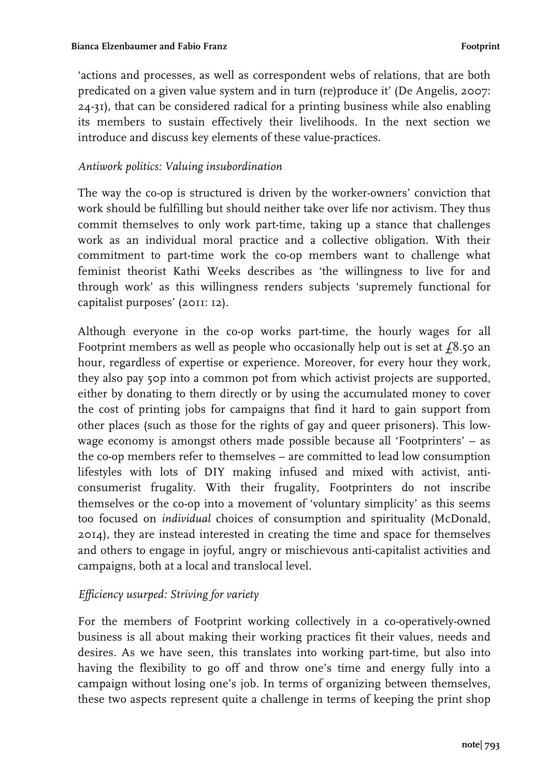'actions and processes, as well as correspondent webs of relations, that are both predicated on a given value system and in turn (re)produce it' (De Angelis, 2007: 24-31), that can be considered radical for a printing business while also enabling its members to sustain effectively their livelihoods. In the next section we introduce and discuss key elements of these value-practices.

#### *Antiwork politics: Valuing insubordination*

The way the co-op is structured is driven by the worker-owners' conviction that work should be fulfilling but should neither take over life nor activism. They thus commit themselves to only work part-time, taking up a stance that challenges work as an individual moral practice and a collective obligation. With their commitment to part-time work the co-op members want to challenge what feminist theorist Kathi Weeks describes as 'the willingness to live for and through work' as this willingness renders subjects 'supremely functional for capitalist purposes' (2011: 12).

Although everyone in the co-op works part-time, the hourly wages for all Footprint members as well as people who occasionally help out is set at  $f_0$ 8.50 an hour, regardless of expertise or experience. Moreover, for every hour they work, they also pay 50p into a common pot from which activist projects are supported, either by donating to them directly or by using the accumulated money to cover the cost of printing jobs for campaigns that find it hard to gain support from other places (such as those for the rights of gay and queer prisoners). This lowwage economy is amongst others made possible because all 'Footprinters' – as the co-op members refer to themselves – are committed to lead low consumption lifestyles with lots of DIY making infused and mixed with activist, anticonsumerist frugality. With their frugality, Footprinters do not inscribe themselves or the co-op into a movement of 'voluntary simplicity' as this seems too focused on *individual* choices of consumption and spirituality (McDonald, 2014), they are instead interested in creating the time and space for themselves and others to engage in joyful, angry or mischievous anti-capitalist activities and campaigns, both at a local and translocal level.

## *Efficiency usurped: Striving for variety*

For the members of Footprint working collectively in a co-operatively-owned business is all about making their working practices fit their values, needs and desires. As we have seen, this translates into working part-time, but also into having the flexibility to go off and throw one's time and energy fully into a campaign without losing one's job. In terms of organizing between themselves, these two aspects represent quite a challenge in terms of keeping the print shop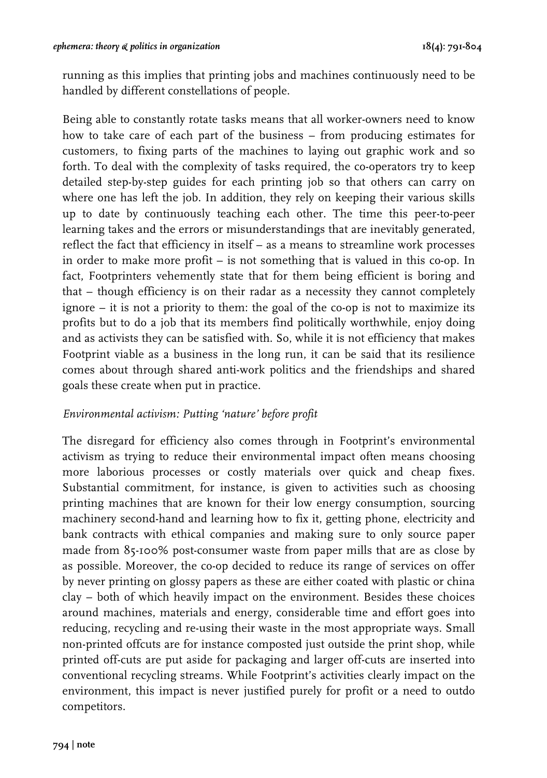running as this implies that printing jobs and machines continuously need to be handled by different constellations of people.

Being able to constantly rotate tasks means that all worker-owners need to know how to take care of each part of the business – from producing estimates for customers, to fixing parts of the machines to laying out graphic work and so forth. To deal with the complexity of tasks required, the co-operators try to keep detailed step-by-step guides for each printing job so that others can carry on where one has left the job. In addition, they rely on keeping their various skills up to date by continuously teaching each other. The time this peer-to-peer learning takes and the errors or misunderstandings that are inevitably generated, reflect the fact that efficiency in itself – as a means to streamline work processes in order to make more profit – is not something that is valued in this co-op. In fact, Footprinters vehemently state that for them being efficient is boring and that – though efficiency is on their radar as a necessity they cannot completely ignore – it is not a priority to them: the goal of the co-op is not to maximize its profits but to do a job that its members find politically worthwhile, enjoy doing and as activists they can be satisfied with. So, while it is not efficiency that makes Footprint viable as a business in the long run, it can be said that its resilience comes about through shared anti-work politics and the friendships and shared goals these create when put in practice.

#### *Environmental activism: Putting 'nature' before profit*

The disregard for efficiency also comes through in Footprint's environmental activism as trying to reduce their environmental impact often means choosing more laborious processes or costly materials over quick and cheap fixes. Substantial commitment, for instance, is given to activities such as choosing printing machines that are known for their low energy consumption, sourcing machinery second-hand and learning how to fix it, getting phone, electricity and bank contracts with ethical companies and making sure to only source paper made from 85-100% post-consumer waste from paper mills that are as close by as possible. Moreover, the co-op decided to reduce its range of services on offer by never printing on glossy papers as these are either coated with plastic or china clay – both of which heavily impact on the environment. Besides these choices around machines, materials and energy, considerable time and effort goes into reducing, recycling and re-using their waste in the most appropriate ways. Small non-printed offcuts are for instance composted just outside the print shop, while printed off-cuts are put aside for packaging and larger off-cuts are inserted into conventional recycling streams. While Footprint's activities clearly impact on the environment, this impact is never justified purely for profit or a need to outdo competitors.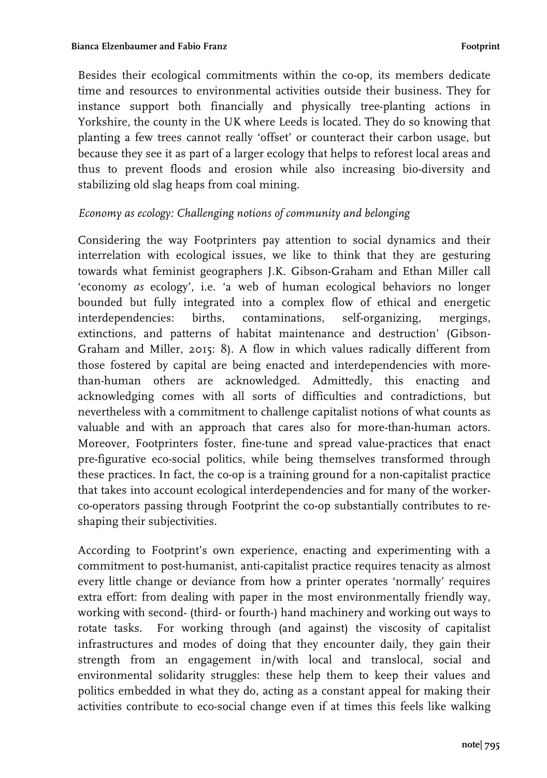Besides their ecological commitments within the co-op, its members dedicate time and resources to environmental activities outside their business. They for instance support both financially and physically tree-planting actions in Yorkshire, the county in the UK where Leeds is located. They do so knowing that planting a few trees cannot really 'offset' or counteract their carbon usage, but because they see it as part of a larger ecology that helps to reforest local areas and thus to prevent floods and erosion while also increasing bio-diversity and stabilizing old slag heaps from coal mining.

## *Economy as ecology: Challenging notions of community and belonging*

Considering the way Footprinters pay attention to social dynamics and their interrelation with ecological issues, we like to think that they are gesturing towards what feminist geographers J.K. Gibson-Graham and Ethan Miller call 'economy *as* ecology', i.e. 'a web of human ecological behaviors no longer bounded but fully integrated into a complex flow of ethical and energetic interdependencies: births, contaminations, self-organizing, mergings, extinctions, and patterns of habitat maintenance and destruction' (Gibson-Graham and Miller, 2015: 8). A flow in which values radically different from those fostered by capital are being enacted and interdependencies with morethan-human others are acknowledged. Admittedly, this enacting and acknowledging comes with all sorts of difficulties and contradictions, but nevertheless with a commitment to challenge capitalist notions of what counts as valuable and with an approach that cares also for more-than-human actors. Moreover, Footprinters foster, fine-tune and spread value-practices that enact pre-figurative eco-social politics, while being themselves transformed through these practices. In fact, the co-op is a training ground for a non-capitalist practice that takes into account ecological interdependencies and for many of the workerco-operators passing through Footprint the co-op substantially contributes to reshaping their subjectivities.

According to Footprint's own experience, enacting and experimenting with a commitment to post-humanist, anti-capitalist practice requires tenacity as almost every little change or deviance from how a printer operates 'normally' requires extra effort: from dealing with paper in the most environmentally friendly way, working with second- (third- or fourth-) hand machinery and working out ways to rotate tasks. For working through (and against) the viscosity of capitalist infrastructures and modes of doing that they encounter daily, they gain their strength from an engagement in/with local and translocal, social and environmental solidarity struggles: these help them to keep their values and politics embedded in what they do, acting as a constant appeal for making their activities contribute to eco-social change even if at times this feels like walking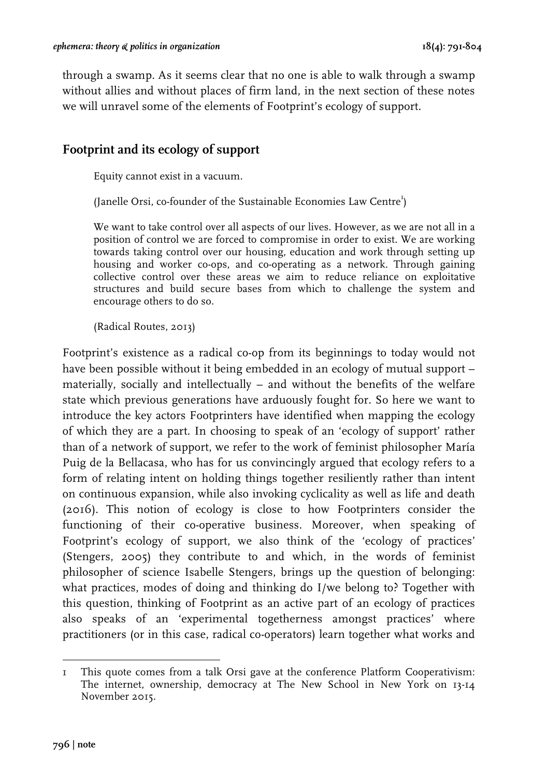through a swamp. As it seems clear that no one is able to walk through a swamp without allies and without places of firm land, in the next section of these notes we will unravel some of the elements of Footprint's ecology of support.

# **Footprint and its ecology of support**

Equity cannot exist in a vacuum.

(Janelle Orsi, co-founder of the Sustainable Economies Law Centre<sup>1</sup>)

We want to take control over all aspects of our lives. However, as we are not all in a position of control we are forced to compromise in order to exist. We are working towards taking control over our housing, education and work through setting up housing and worker co-ops, and co-operating as a network. Through gaining collective control over these areas we aim to reduce reliance on exploitative structures and build secure bases from which to challenge the system and encourage others to do so.

(Radical Routes, 2013)

Footprint's existence as a radical co-op from its beginnings to today would not have been possible without it being embedded in an ecology of mutual support – materially, socially and intellectually – and without the benefits of the welfare state which previous generations have arduously fought for. So here we want to introduce the key actors Footprinters have identified when mapping the ecology of which they are a part. In choosing to speak of an 'ecology of support' rather than of a network of support, we refer to the work of feminist philosopher María Puig de la Bellacasa, who has for us convincingly argued that ecology refers to a form of relating intent on holding things together resiliently rather than intent on continuous expansion, while also invoking cyclicality as well as life and death (2016). This notion of ecology is close to how Footprinters consider the functioning of their co-operative business. Moreover, when speaking of Footprint's ecology of support, we also think of the 'ecology of practices' (Stengers, 2005) they contribute to and which, in the words of feminist philosopher of science Isabelle Stengers, brings up the question of belonging: what practices, modes of doing and thinking do I/we belong to? Together with this question, thinking of Footprint as an active part of an ecology of practices also speaks of an 'experimental togetherness amongst practices' where practitioners (or in this case, radical co-operators) learn together what works and

 1 This quote comes from a talk Orsi gave at the conference Platform Cooperativism: The internet, ownership, democracy at The New School in New York on 13-14 November 2015.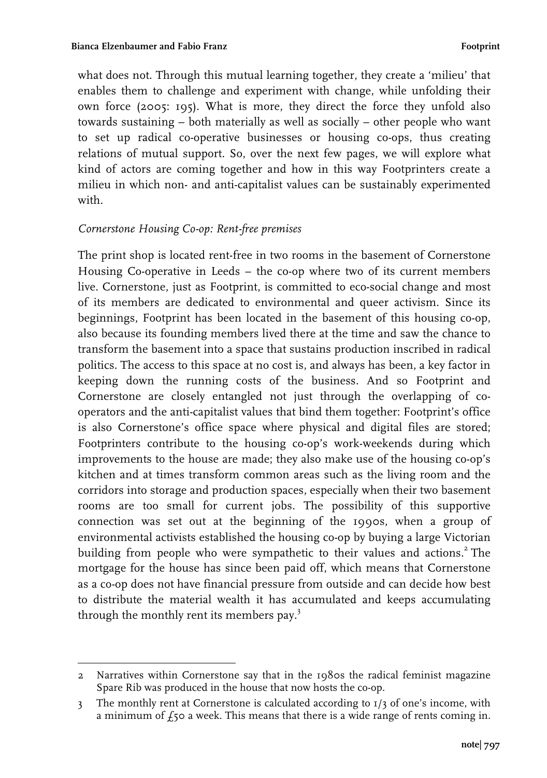what does not. Through this mutual learning together, they create a 'milieu' that enables them to challenge and experiment with change, while unfolding their own force (2005: 195). What is more, they direct the force they unfold also towards sustaining – both materially as well as socially – other people who want to set up radical co-operative businesses or housing co-ops, thus creating relations of mutual support. So, over the next few pages, we will explore what kind of actors are coming together and how in this way Footprinters create a milieu in which non- and anti-capitalist values can be sustainably experimented with.

## *Cornerstone Housing Co-op: Rent-free premises*

 

The print shop is located rent-free in two rooms in the basement of Cornerstone Housing Co-operative in Leeds – the co-op where two of its current members live. Cornerstone, just as Footprint, is committed to eco-social change and most of its members are dedicated to environmental and queer activism. Since its beginnings, Footprint has been located in the basement of this housing co-op, also because its founding members lived there at the time and saw the chance to transform the basement into a space that sustains production inscribed in radical politics. The access to this space at no cost is, and always has been, a key factor in keeping down the running costs of the business. And so Footprint and Cornerstone are closely entangled not just through the overlapping of cooperators and the anti-capitalist values that bind them together: Footprint's office is also Cornerstone's office space where physical and digital files are stored; Footprinters contribute to the housing co-op's work-weekends during which improvements to the house are made; they also make use of the housing co-op's kitchen and at times transform common areas such as the living room and the corridors into storage and production spaces, especially when their two basement rooms are too small for current jobs. The possibility of this supportive connection was set out at the beginning of the 1990s, when a group of environmental activists established the housing co-op by buying a large Victorian building from people who were sympathetic to their values and actions.<sup>2</sup> The mortgage for the house has since been paid off, which means that Cornerstone as a co-op does not have financial pressure from outside and can decide how best to distribute the material wealth it has accumulated and keeps accumulating through the monthly rent its members pay. $3$ 

<sup>2</sup> Narratives within Cornerstone say that in the 1980s the radical feminist magazine Spare Rib was produced in the house that now hosts the co-op.

<sup>3</sup> The monthly rent at Cornerstone is calculated according to  $1/3$  of one's income, with a minimum of  $f_5$  a week. This means that there is a wide range of rents coming in.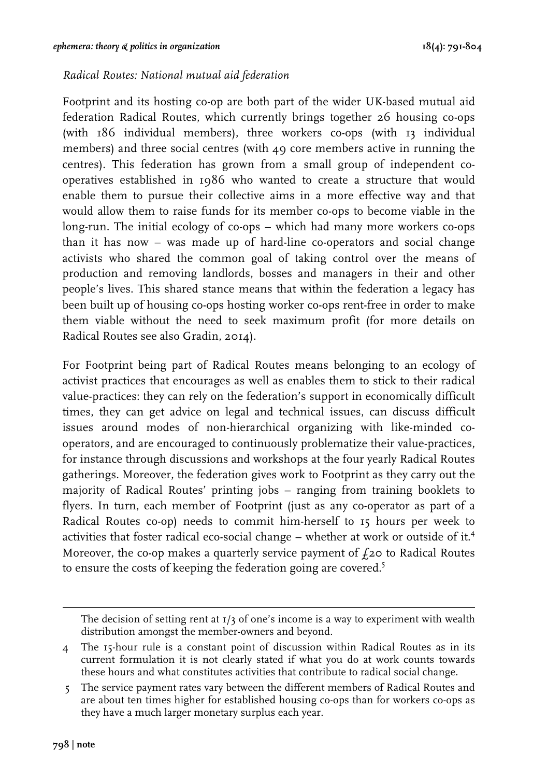#### *Radical Routes: National mutual aid federation*

Footprint and its hosting co-op are both part of the wider UK-based mutual aid federation Radical Routes, which currently brings together 26 housing co-ops (with 186 individual members), three workers co-ops (with 13 individual members) and three social centres (with 49 core members active in running the centres). This federation has grown from a small group of independent cooperatives established in 1986 who wanted to create a structure that would enable them to pursue their collective aims in a more effective way and that would allow them to raise funds for its member co-ops to become viable in the long-run. The initial ecology of co-ops – which had many more workers co-ops than it has now – was made up of hard-line co-operators and social change activists who shared the common goal of taking control over the means of production and removing landlords, bosses and managers in their and other people's lives. This shared stance means that within the federation a legacy has been built up of housing co-ops hosting worker co-ops rent-free in order to make them viable without the need to seek maximum profit (for more details on Radical Routes see also Gradin, 2014).

For Footprint being part of Radical Routes means belonging to an ecology of activist practices that encourages as well as enables them to stick to their radical value-practices: they can rely on the federation's support in economically difficult times, they can get advice on legal and technical issues, can discuss difficult issues around modes of non-hierarchical organizing with like-minded cooperators, and are encouraged to continuously problematize their value-practices, for instance through discussions and workshops at the four yearly Radical Routes gatherings. Moreover, the federation gives work to Footprint as they carry out the majority of Radical Routes' printing jobs – ranging from training booklets to flyers. In turn, each member of Footprint (just as any co-operator as part of a Radical Routes co-op) needs to commit him-herself to 15 hours per week to activities that foster radical eco-social change – whether at work or outside of it.4 Moreover, the co-op makes a quarterly service payment of  $f$ <sub>20</sub> to Radical Routes to ensure the costs of keeping the federation going are covered.<sup>5</sup>

<u> 2002 - Andrea San Andrew Maria (h. 1888).</u><br>1903 - Johann British, fransk politik amerikansk politik (h. 1889).

The decision of setting rent at  $I/3$  of one's income is a way to experiment with wealth distribution amongst the member-owners and beyond.

<sup>4</sup> The 15-hour rule is a constant point of discussion within Radical Routes as in its current formulation it is not clearly stated if what you do at work counts towards these hours and what constitutes activities that contribute to radical social change.

 <sup>5</sup> The service payment rates vary between the different members of Radical Routes and are about ten times higher for established housing co-ops than for workers co-ops as they have a much larger monetary surplus each year.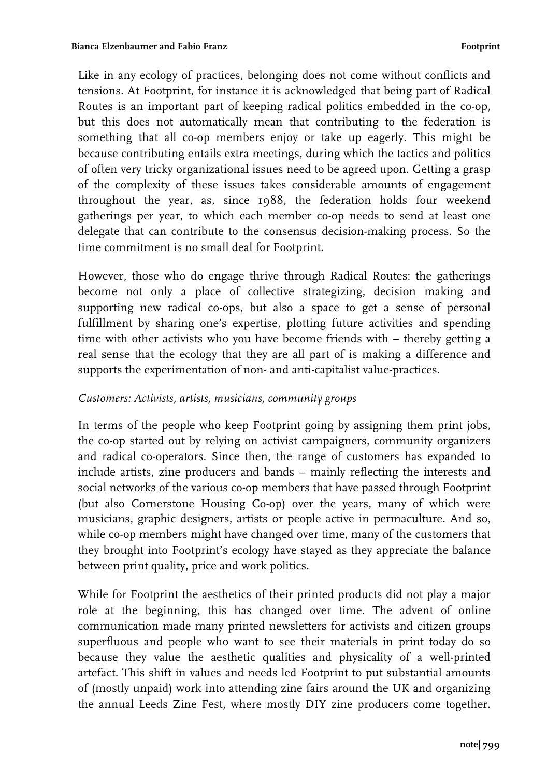Like in any ecology of practices, belonging does not come without conflicts and tensions. At Footprint, for instance it is acknowledged that being part of Radical Routes is an important part of keeping radical politics embedded in the co-op, but this does not automatically mean that contributing to the federation is something that all co-op members enjoy or take up eagerly. This might be because contributing entails extra meetings, during which the tactics and politics of often very tricky organizational issues need to be agreed upon. Getting a grasp of the complexity of these issues takes considerable amounts of engagement throughout the year, as, since 1988, the federation holds four weekend gatherings per year, to which each member co-op needs to send at least one delegate that can contribute to the consensus decision-making process. So the time commitment is no small deal for Footprint.

However, those who do engage thrive through Radical Routes: the gatherings become not only a place of collective strategizing, decision making and supporting new radical co-ops, but also a space to get a sense of personal fulfillment by sharing one's expertise, plotting future activities and spending time with other activists who you have become friends with – thereby getting a real sense that the ecology that they are all part of is making a difference and supports the experimentation of non- and anti-capitalist value-practices.

#### *Customers: Activists, artists, musicians, community groups*

In terms of the people who keep Footprint going by assigning them print jobs, the co-op started out by relying on activist campaigners, community organizers and radical co-operators. Since then, the range of customers has expanded to include artists, zine producers and bands – mainly reflecting the interests and social networks of the various co-op members that have passed through Footprint (but also Cornerstone Housing Co-op) over the years, many of which were musicians, graphic designers, artists or people active in permaculture. And so, while co-op members might have changed over time, many of the customers that they brought into Footprint's ecology have stayed as they appreciate the balance between print quality, price and work politics.

While for Footprint the aesthetics of their printed products did not play a major role at the beginning, this has changed over time. The advent of online communication made many printed newsletters for activists and citizen groups superfluous and people who want to see their materials in print today do so because they value the aesthetic qualities and physicality of a well-printed artefact. This shift in values and needs led Footprint to put substantial amounts of (mostly unpaid) work into attending zine fairs around the UK and organizing the annual Leeds Zine Fest, where mostly DIY zine producers come together.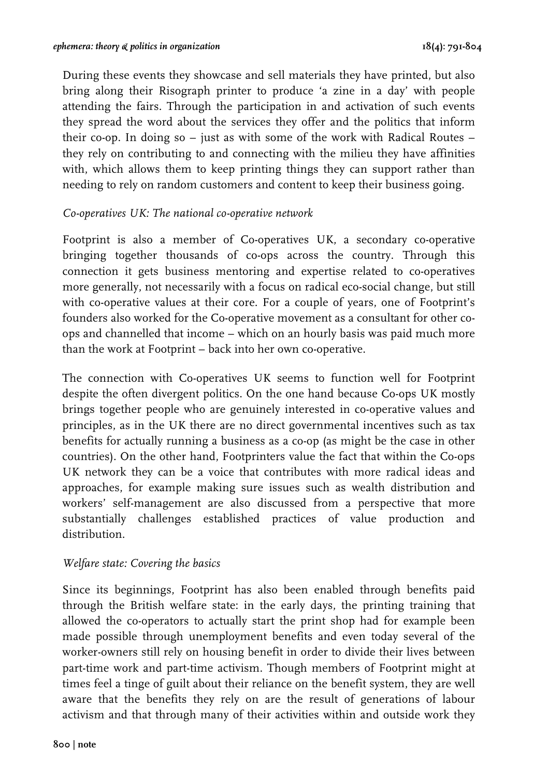During these events they showcase and sell materials they have printed, but also bring along their Risograph printer to produce 'a zine in a day' with people attending the fairs. Through the participation in and activation of such events they spread the word about the services they offer and the politics that inform their co-op. In doing so – just as with some of the work with Radical Routes – they rely on contributing to and connecting with the milieu they have affinities with, which allows them to keep printing things they can support rather than needing to rely on random customers and content to keep their business going.

#### *Co-operatives UK: The national co-operative network*

Footprint is also a member of Co-operatives UK, a secondary co-operative bringing together thousands of co-ops across the country. Through this connection it gets business mentoring and expertise related to co-operatives more generally, not necessarily with a focus on radical eco-social change, but still with co-operative values at their core. For a couple of years, one of Footprint's founders also worked for the Co-operative movement as a consultant for other coops and channelled that income – which on an hourly basis was paid much more than the work at Footprint – back into her own co-operative.

The connection with Co-operatives UK seems to function well for Footprint despite the often divergent politics. On the one hand because Co-ops UK mostly brings together people who are genuinely interested in co-operative values and principles, as in the UK there are no direct governmental incentives such as tax benefits for actually running a business as a co-op (as might be the case in other countries). On the other hand, Footprinters value the fact that within the Co-ops UK network they can be a voice that contributes with more radical ideas and approaches, for example making sure issues such as wealth distribution and workers' self-management are also discussed from a perspective that more substantially challenges established practices of value production and distribution.

#### *Welfare state: Covering the basics*

Since its beginnings, Footprint has also been enabled through benefits paid through the British welfare state: in the early days, the printing training that allowed the co-operators to actually start the print shop had for example been made possible through unemployment benefits and even today several of the worker-owners still rely on housing benefit in order to divide their lives between part-time work and part-time activism. Though members of Footprint might at times feel a tinge of guilt about their reliance on the benefit system, they are well aware that the benefits they rely on are the result of generations of labour activism and that through many of their activities within and outside work they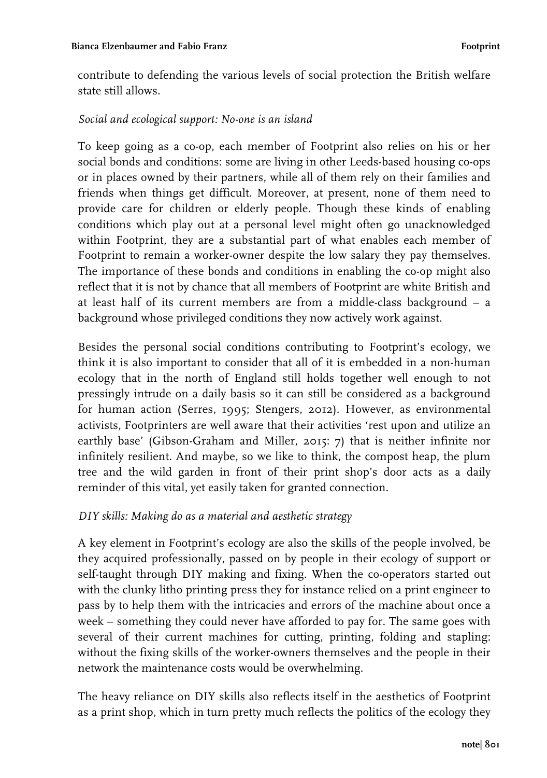contribute to defending the various levels of social protection the British welfare state still allows.

## *Social and ecological support: No-one is an island*

To keep going as a co-op, each member of Footprint also relies on his or her social bonds and conditions: some are living in other Leeds-based housing co-ops or in places owned by their partners, while all of them rely on their families and friends when things get difficult. Moreover, at present, none of them need to provide care for children or elderly people. Though these kinds of enabling conditions which play out at a personal level might often go unacknowledged within Footprint, they are a substantial part of what enables each member of Footprint to remain a worker-owner despite the low salary they pay themselves. The importance of these bonds and conditions in enabling the co-op might also reflect that it is not by chance that all members of Footprint are white British and at least half of its current members are from a middle-class background – a background whose privileged conditions they now actively work against.

Besides the personal social conditions contributing to Footprint's ecology, we think it is also important to consider that all of it is embedded in a non-human ecology that in the north of England still holds together well enough to not pressingly intrude on a daily basis so it can still be considered as a background for human action (Serres, 1995; Stengers, 2012). However, as environmental activists, Footprinters are well aware that their activities 'rest upon and utilize an earthly base' (Gibson-Graham and Miller, 2015: 7) that is neither infinite nor infinitely resilient. And maybe, so we like to think, the compost heap, the plum tree and the wild garden in front of their print shop's door acts as a daily reminder of this vital, yet easily taken for granted connection.

## *DIY skills: Making do as a material and aesthetic strategy*

A key element in Footprint's ecology are also the skills of the people involved, be they acquired professionally, passed on by people in their ecology of support or self-taught through DIY making and fixing. When the co-operators started out with the clunky litho printing press they for instance relied on a print engineer to pass by to help them with the intricacies and errors of the machine about once a week – something they could never have afforded to pay for. The same goes with several of their current machines for cutting, printing, folding and stapling: without the fixing skills of the worker-owners themselves and the people in their network the maintenance costs would be overwhelming.

The heavy reliance on DIY skills also reflects itself in the aesthetics of Footprint as a print shop, which in turn pretty much reflects the politics of the ecology they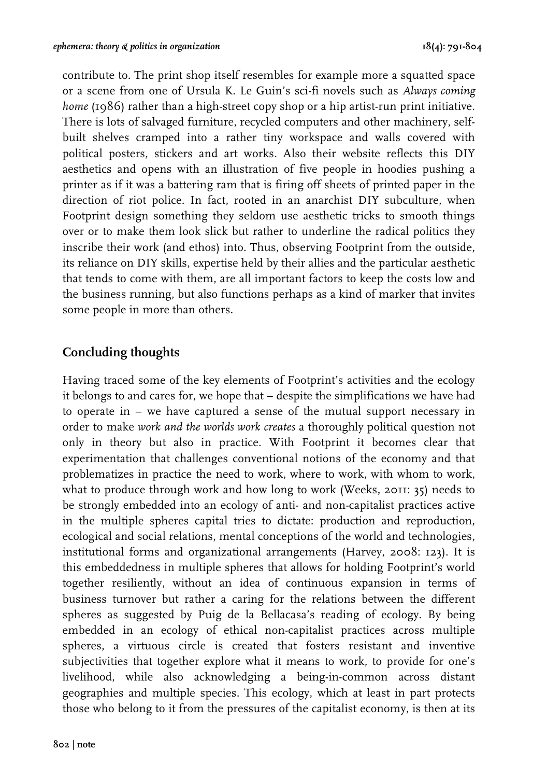contribute to. The print shop itself resembles for example more a squatted space or a scene from one of Ursula K. Le Guin's sci-fi novels such as *Always coming home* (1986) rather than a high-street copy shop or a hip artist-run print initiative. There is lots of salvaged furniture, recycled computers and other machinery, selfbuilt shelves cramped into a rather tiny workspace and walls covered with political posters, stickers and art works. Also their website reflects this DIY aesthetics and opens with an illustration of five people in hoodies pushing a printer as if it was a battering ram that is firing off sheets of printed paper in the direction of riot police. In fact, rooted in an anarchist DIY subculture, when Footprint design something they seldom use aesthetic tricks to smooth things over or to make them look slick but rather to underline the radical politics they inscribe their work (and ethos) into. Thus, observing Footprint from the outside, its reliance on DIY skills, expertise held by their allies and the particular aesthetic that tends to come with them, are all important factors to keep the costs low and the business running, but also functions perhaps as a kind of marker that invites some people in more than others.

# **Concluding thoughts**

Having traced some of the key elements of Footprint's activities and the ecology it belongs to and cares for, we hope that – despite the simplifications we have had to operate in – we have captured a sense of the mutual support necessary in order to make *work and the worlds work creates* a thoroughly political question not only in theory but also in practice. With Footprint it becomes clear that experimentation that challenges conventional notions of the economy and that problematizes in practice the need to work, where to work, with whom to work, what to produce through work and how long to work (Weeks, 2011: 35) needs to be strongly embedded into an ecology of anti- and non-capitalist practices active in the multiple spheres capital tries to dictate: production and reproduction, ecological and social relations, mental conceptions of the world and technologies, institutional forms and organizational arrangements (Harvey, 2008: 123). It is this embeddedness in multiple spheres that allows for holding Footprint's world together resiliently, without an idea of continuous expansion in terms of business turnover but rather a caring for the relations between the different spheres as suggested by Puig de la Bellacasa's reading of ecology. By being embedded in an ecology of ethical non-capitalist practices across multiple spheres, a virtuous circle is created that fosters resistant and inventive subjectivities that together explore what it means to work, to provide for one's livelihood, while also acknowledging a being-in-common across distant geographies and multiple species. This ecology, which at least in part protects those who belong to it from the pressures of the capitalist economy, is then at its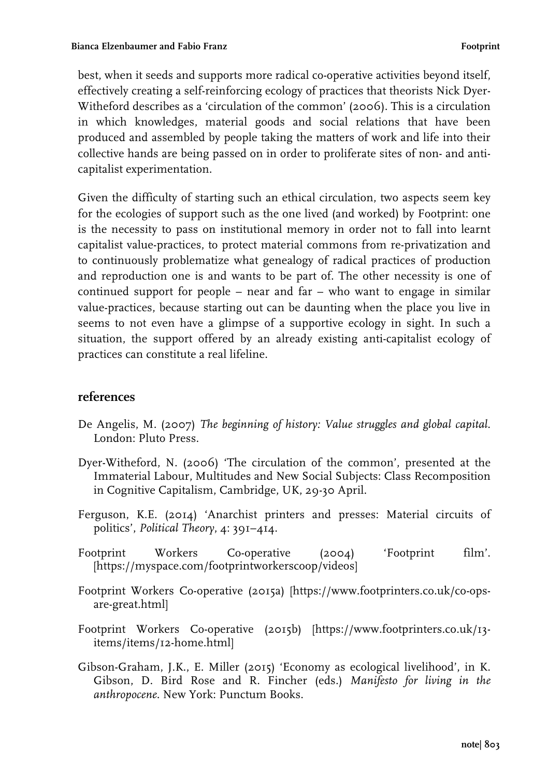best, when it seeds and supports more radical co-operative activities beyond itself, effectively creating a self-reinforcing ecology of practices that theorists Nick Dyer-Witheford describes as a 'circulation of the common' (2006). This is a circulation in which knowledges, material goods and social relations that have been produced and assembled by people taking the matters of work and life into their collective hands are being passed on in order to proliferate sites of non- and anticapitalist experimentation.

Given the difficulty of starting such an ethical circulation, two aspects seem key for the ecologies of support such as the one lived (and worked) by Footprint: one is the necessity to pass on institutional memory in order not to fall into learnt capitalist value-practices, to protect material commons from re-privatization and to continuously problematize what genealogy of radical practices of production and reproduction one is and wants to be part of. The other necessity is one of continued support for people – near and far – who want to engage in similar value-practices, because starting out can be daunting when the place you live in seems to not even have a glimpse of a supportive ecology in sight. In such a situation, the support offered by an already existing anti-capitalist ecology of practices can constitute a real lifeline.

# **references**

- De Angelis, M. (2007) *The beginning of history: Value struggles and global capital*. London: Pluto Press.
- Dyer-Witheford, N. (2006) 'The circulation of the common', presented at the Immaterial Labour, Multitudes and New Social Subjects: Class Recomposition in Cognitive Capitalism, Cambridge, UK, 29-30 April.
- Ferguson, K.E. (2014) 'Anarchist printers and presses: Material circuits of politics', *Political Theory*, 4: 391–414.
- Footprint Workers Co-operative (2004) 'Footprint film'. [https://myspace.com/footprintworkerscoop/videos]
- Footprint Workers Co-operative (2015a) [https://www.footprinters.co.uk/co-opsare-great.html]
- Footprint Workers Co-operative (2015b) [https://www.footprinters.co.uk/13 items/items/12-home.html]
- Gibson-Graham, J.K., E. Miller (2015) 'Economy as ecological livelihood', in K. Gibson, D. Bird Rose and R. Fincher (eds.) *Manifesto for living in the anthropocene*. New York: Punctum Books.